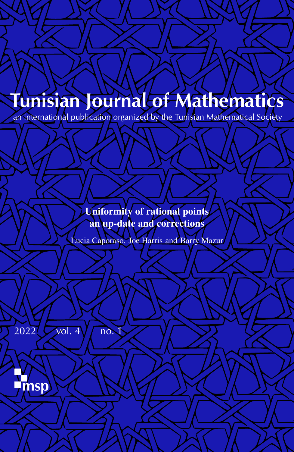# Tunisian Journal of Mathematics

an international publication organized by the Tunisian Mathematical Society

Uniformity of rational points an up-date and corrections

Lucia Caporaso, Joe Harris and Barry Mazur

 $2022$   $\sqrt{vol. 4}$   $\sqrt{no.1}$ 

**msp**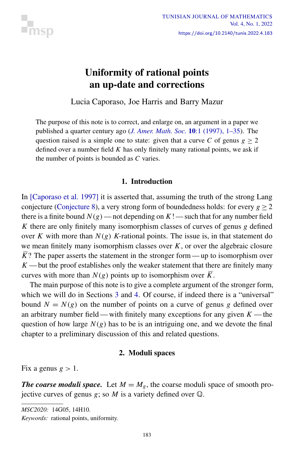<span id="page-1-0"></span>

### Uniformity of rational points an up-date and corrections

Lucia Caporaso, Joe Harris and Barry Mazur

The purpose of this note is to correct, and enlarge on, an argument in a paper we published a quarter century ago (*[J. Amer. Math. Soc.](https://doi.org/10.1090/S0894-0347-97-00195-1)* 10:1 (1997), 1–35). The question raised is a simple one to state: given that a curve *C* of genus  $g \ge 2$ defined over a number field *K* has only finitely many rational points, we ask if the number of points is bounded as *C* varies.

#### 1. Introduction

In [\[Caporaso et al. 1997\]](#page-18-0) it is asserted that, assuming the truth of the strong Lang conjecture [\(Conjecture 8\)](#page-9-0), a very strong form of boundedness holds: for every  $g > 2$ there is a finite bound  $N(g)$  — not depending on  $K!$  — such that for any number field *K* there are only finitely many isomorphism classes of curves of genus *g* defined over *K* with more than  $N(g)$  *K*-rational points. The issue is, in that statement do we mean finitely many isomorphism classes over *K*, or over the algebraic closure  $\overline{K}$ ? The paper asserts the statement in the stronger form — up to isomorphism over  $K$ —but the proof establishes only the weaker statement that there are finitely many curves with more than  $N(g)$  points up to isomorphism over  $\overline{K}$ .

The main purpose of this note is to give a complete argument of the stronger form, which we will do in Sections [3](#page-5-0) and [4.](#page-9-1) Of course, if indeed there is a "universal" bound  $N = N(g)$  on the number of points on a curve of genus g defined over an arbitrary number field — with finitely many exceptions for any given  $K$  — the question of how large  $N(g)$  has to be is an intriguing one, and we devote the final chapter to a preliminary discussion of this and related questions.

#### 2. Moduli spaces

<span id="page-1-1"></span>Fix a genus  $g > 1$ .

*The coarse moduli space.* Let  $M = M<sub>g</sub>$ , the coarse moduli space of smooth projective curves of genus *g*; so *M* is a variety defined over Q.

*MSC2020:* 14G05, 14H10.

*Keywords:* rational points, uniformity.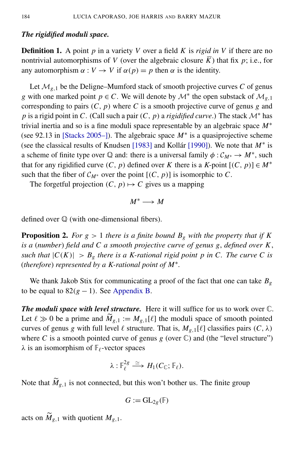#### *The rigidified moduli space.*

Definition 1. A point *p* in a variety *V* over a field *K* is *rigid in V* if there are no nontrivial automorphisms of *V* (over the algebraic closure *K*) that fix  $p$ ; i.e., for any automorphism  $\alpha : V \to V$  if  $\alpha(p) = p$  then  $\alpha$  is the identity.

Let  $\mathcal{M}_{g,1}$  be the Deligne–Mumford stack of smooth projective curves *C* of genus *g* with one marked point  $p \in C$ . We will denote by  $\mathcal{M}^*$  the open substack of  $\mathcal{M}_{g,1}$ corresponding to pairs  $(C, p)$  where  $C$  is a smooth projective curve of genus  $g$  and *p* is a rigid point in *C*. (Call such a pair  $(C, p)$  a *rigidified curve*.) The stack  $\mathcal{M}^*$  has trivial inertia and so is a fine moduli space representable by an algebraic space *M*<sup>∗</sup> (see 92.13 in [\[Stacks 2005–\]](#page-19-0)). The algebraic space *M*<sup>∗</sup> is a quasiprojective scheme (see the classical results of Knudsen [\[1983\]](#page-19-1) and Kollár [\[1990\]](#page-19-2)). We note that *M*<sup>∗</sup> is a scheme of finite type over  $\mathbb Q$  and: there is a universal family  $\phi : \mathcal{C}_{M^*} \to M^*$ , such that for any rigidified curve  $(C, p)$  defined over *K* there is a *K*-point  $[(C, p)] \in M^*$ such that the fiber of  $\mathcal{C}_{M^*}$  over the point  $[(C, p)]$  is isomorphic to C.

The forgetful projection  $(C, p) \mapsto C$  gives us a mapping

$$
M^*\longrightarrow M
$$

<span id="page-2-0"></span>defined over Q (with one-dimensional fibers).

**Proposition 2.** For  $g > 1$  there is a finite bound  $B_g$  with the property that if K *is a* (*number*) *field and C a smooth projective curve of genus g*, *defined over K*, *such that*  $|C(K)| > B_g$  *there is a K-rational rigid point p in C. The curve C is* (*therefore*) *represented by a K-rational point of M*<sup>∗</sup> *.*

We thank Jakob Stix for communicating a proof of the fact that one can take *B<sup>g</sup>* to be equal to  $82(g - 1)$ . See [Appendix B.](#page-17-0)

*The moduli space with level structure.* Here it will suffice for us to work over C. Let  $\ell \gg 0$  be a prime and  $\widetilde{M}_{g,1} := M_{g,1}[\ell]$  the moduli space of smooth pointed curves of genus *g* with full level  $\ell$  structure. That is,  $M_{g,1}[\ell]$  classifies pairs  $(C, \lambda)$ where *C* is a smooth pointed curve of genus  $g$  (over  $\mathbb{C}$ ) and (the "level structure")  $\lambda$  is an isomorphism of  $\mathbb{F}_{\ell}$ -vector spaces

$$
\lambda: \mathbb{F}_{\ell}^{2g} \xrightarrow{\simeq} H_1(C_{\mathbb{C}}; \mathbb{F}_{\ell}).
$$

Note that  $\widetilde{M}_{g,1}$  is not connected, but this won't bother us. The finite group

$$
G:=\mathrm{GL}_{2g}(\mathbb{F})
$$

acts on  $\widetilde{M}_{g,1}$  with quotient  $M_{g,1}$ .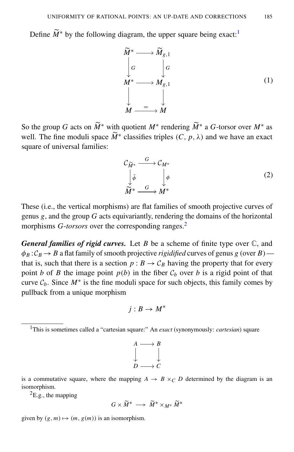Define  $\widetilde{M}^*$  by the following diagram, the upper square being exact:<sup>[1](#page-3-0)</sup>

$$
\widetilde{M}^* \longrightarrow \widetilde{M}_{g,1} \n\downarrow G \n\downarrow H^* \longrightarrow M_{g,1} \n\downarrow H \longrightarrow M_{g,1}
$$
\n(1)

So the group *G* acts on  $\widetilde{M}^*$  with quotient  $M^*$  rendering  $\widetilde{M}^*$  a *G*-torsor over  $M^*$  as well. The fine moduli space  $\widetilde{M}^*$  classifies triples  $(C, p, \lambda)$  and we have an exact square of universal families:

$$
\mathcal{C}_{\widetilde{M}^*} \xrightarrow{G} \mathcal{C}_{M^*} \n\downarrow_{\widetilde{\phi}} \qquad \qquad \downarrow_{\phi} \n\widetilde{M}^* \xrightarrow{G} M^* \qquad (2)
$$

These (i.e., the vertical morphisms) are flat families of smooth projective curves of genus *g*, and the group *G* acts equivariantly, rendering the domains of the horizontal morphisms *G-torsors* over the corresponding ranges.<sup>[2](#page-3-1)</sup>

*General families of rigid curves.* Let *B* be a scheme of finite type over C, and  $\phi_B$ :  $C_B \rightarrow B$  a flat family of smooth projective *rigidified* curves of genus *g* (over *B*) that is, such that there is a section  $p : B \to C_B$  having the property that for every point *b* of *B* the image point  $p(b)$  in the fiber  $C_b$  over *b* is a rigid point of that curve  $C_b$ . Since  $M^*$  is the fine moduli space for such objects, this family comes by pullback from a unique morphism

$$
j:B\to M^*
$$

$$
A \longrightarrow B
$$
  
\n
$$
\downarrow \qquad \qquad \downarrow
$$
  
\n
$$
D \longrightarrow C
$$

is a commutative square, where the mapping  $A \rightarrow B \times_C D$  determined by the diagram is an isomorphism.

<span id="page-3-1"></span> ${}^{2}E.g.,$  the mapping

$$
G\times \widetilde{M}^*\;\longrightarrow\; \widetilde{M}^*\times_{M^*}\widetilde{M}^*
$$

given by  $(g, m) \mapsto (m, g(m))$  is an isomorphism.

<span id="page-3-0"></span><sup>1</sup>This is sometimes called a "cartesian square:" An *exact* (synonymously: *cartesian*) square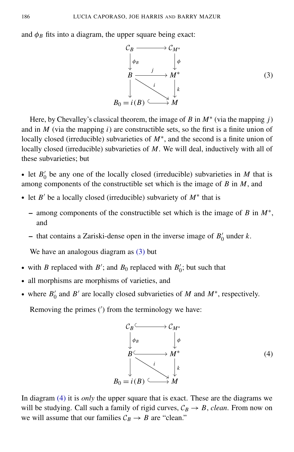and  $\phi_B$  fits into a diagram, the upper square being exact:

<span id="page-4-0"></span>

Here, by Chevalley's classical theorem, the image of *B* in  $M^*$  (via the mapping *j*) and in  $M$  (via the mapping  $i$ ) are constructible sets, so the first is a finite union of locally closed (irreducible) subvarieties of *M*<sup>∗</sup> , and the second is a finite union of locally closed (irreducible) subvarieties of *M*. We will deal, inductively with all of these subvarieties; but

• let  $B'_0$  $\mu_0'$  be any one of the locally closed (irreducible) subvarieties in *M* that is among components of the constructible set which is the image of *B* in *M*, and

- let *B* ′ be a locally closed (irreducible) subvariety of *M*<sup>∗</sup> that is
	- among components of the constructible set which is the image of *B* in *M*<sup>∗</sup> , and
	- that contains a Zariski-dense open in the inverse image of  $B'_{0}$  $\int_0'$  under  $k$ .

We have an analogous diagram as  $(3)$  but

- with *B* replaced with *B'*; and *B*<sub>0</sub> replaced with *B'*<sub>c</sub>  $\zeta_0$ ; but such that
- all morphisms are morphisms of varieties, and
- where  $B'_0$  $\int_0'$  and *B'* are locally closed subvarieties of *M* and *M*<sup>\*</sup>, respectively.

Removing the primes (′ ) from the terminology we have:

<span id="page-4-1"></span>

In diagram [\(4\)](#page-4-1) it is *only* the upper square that is exact. These are the diagrams we will be studying. Call such a family of rigid curves,  $C_B \rightarrow B$ , *clean*. From now on we will assume that our families  $C_B \rightarrow B$  are "clean."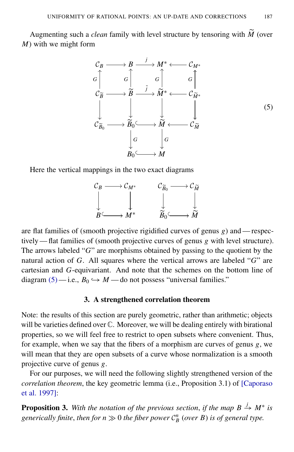Augmenting such a *clean* family with level structure by tensoring with  $\tilde{M}$  (over *M*) with we might form

<span id="page-5-1"></span>

Here the vertical mappings in the two exact diagrams



are flat families of (smooth projective rigidified curves of genus *g*) and — respectively — flat families of (smooth projective curves of genus *g* with level structure). The arrows labeled "*G*" are morphisms obtained by passing to the quotient by the natural action of *G*. All squares where the vertical arrows are labeled "*G*" are cartesian and *G*-equivariant. And note that the schemes on the bottom line of diagram  $(5)$ —i.e.,  $B_0 \hookrightarrow M$ —do not possess "universal families."

#### 3. A strengthened correlation theorem

<span id="page-5-0"></span>Note: the results of this section are purely geometric, rather than arithmetic; objects will be varieties defined over  $\mathbb C$ . Moreover, we will be dealing entirely with birational properties, so we will feel free to restrict to open subsets where convenient. Thus, for example, when we say that the fibers of a morphism are curves of genus *g*, we will mean that they are open subsets of a curve whose normalization is a smooth projective curve of genus *g*.

For our purposes, we will need the following slightly strengthened version of the *correlation theorem*, the key geometric lemma (i.e., Proposition 3.1) of [\[Caporaso](#page-18-0) [et al. 1997\]](#page-18-0):

<span id="page-5-2"></span>**Proposition 3.** With the notation of the previous section, if the map  $B \stackrel{j}{\rightarrow} M^*$  is generically finite, then for  $n \gg 0$  the fiber power  $\mathcal{C}_B^n$  (over B) is of general type.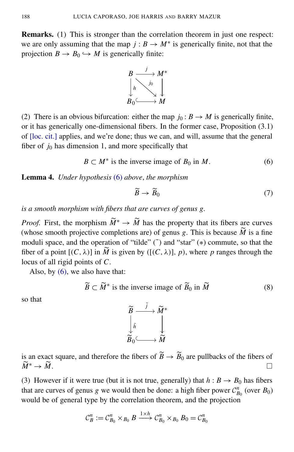Remarks. (1) This is stronger than the correlation theorem in just one respect: we are only assuming that the map  $j: B \to M^*$  is generically finite, not that the projection  $B \to B_0 \hookrightarrow M$  is generically finite:



(2) There is an obvious bifurcation: either the map  $j_0 : B \to M$  is generically finite, or it has generically one-dimensional fibers. In the former case, Proposition (3.1) of [\[loc. cit.\]](#page-18-0) applies, and we're done; thus we can, and will, assume that the general fiber of  $j_0$  has dimension 1, and more specifically that

$$
B \subset M^*
$$
 is the inverse image of  $B_0$  in M. (6)

Lemma 4. *Under hypothesis* [\(6\)](#page-6-0) *above*, *the morphism*

<span id="page-6-0"></span>
$$
\widetilde{B} \to \widetilde{B}_0 \tag{7}
$$

*is a smooth morphism with fibers that are curves of genus g.*

*Proof.* First, the morphism  $\widetilde{M}^* \to \widetilde{M}$  has the property that its fibers are curves (whose smooth projective completions are) of genus *g*. This is because  $\widetilde{M}$  is a fine moduli space, and the operation of "tilde"  $(\tilde{\ })$  and "star"  $(*)$  commute, so that the fiber of a point  $[(C, \lambda)]$  in  $\widetilde{M}$  is given by  $([C, \lambda)], p$ , where p ranges through the locus of all rigid points of *C*.

Also, by  $(6)$ , we also have that:

$$
\widetilde{B} \subset \widetilde{M}^* \text{ is the inverse image of } \widetilde{B}_0 \text{ in } \widetilde{M} \tag{8}
$$

so that



is an exact square, and therefore the fibers of  $\widetilde{B} \to \widetilde{B}_0$  are pullbacks of the fibers of  $\widetilde{M}^* \to \widetilde{M}$ .  $\widetilde{M}^* \to \widetilde{M}$ .

(3) However if it were true (but it is not true, generally) that  $h : B \to B_0$  has fibers that are curves of genus *g* we would then be done: a high fiber power  $C_{B_0}^n$  (over  $B_0$ ) would be of general type by the correlation theorem, and the projection

$$
\mathcal{C}_B^n := \mathcal{C}_{B_0}^n \times_{B_0} B \xrightarrow{1 \times h} \mathcal{C}_{B_0}^n \times_{B_0} B_0 = \mathcal{C}_{B_0}^n
$$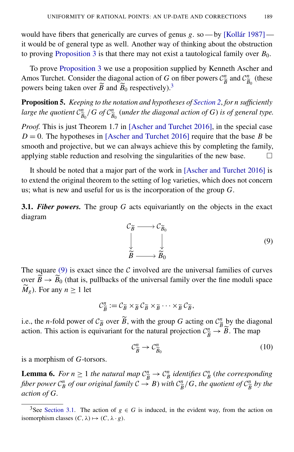would have fibers that generically are curves of genus *g*. so — by [\[Kollár 1987\]](#page-19-3) it would be of general type as well. Another way of thinking about the obstruction to proving [Proposition 3](#page-5-2) is that there may not exist a tautological family over  $B_0$ .

To prove [Proposition 3](#page-5-2) we use a proposition supplied by Kenneth Ascher and Amos Turchet. Consider the diagonal action of *G* on fiber powers  $C_{\hat{p}}^n$  $\frac{n}{\widetilde{B}}$  and  $\mathcal{C}_{\widetilde{B}}^n$  $\frac{n}{\widetilde{B}_0}$  (these powers being taken over  $\widetilde{B}$  and  $\widetilde{B}_0$  respectively).<sup>[3](#page-7-0)</sup>

<span id="page-7-3"></span>Proposition 5. *Keeping to the notation and hypotheses of [Section 2](#page-1-1)*, *for n sufficiently large the quotient* C *n*  $\frac{n}{\widetilde{B}_0}/G$  of  $\mathcal{C}_{\widetilde{B}}^n$  $\frac{n}{\widetilde{B}_0}$  (under the diagonal action of G) is of general type.

*Proof.* This is just Theorem 1.7 in [\[Ascher and Turchet 2016\]](#page-18-1), in the special case  $D = 0$ . The hypotheses in [\[Ascher and Turchet 2016\]](#page-18-1) require that the base *B* be smooth and projective, but we can always achieve this by completing the family, applying stable reduction and resolving the singularities of the new base.  $\Box$ 

It should be noted that a major part of the work in [\[Ascher and Turchet 2016\]](#page-18-1) is to extend the original theorem to the setting of log varieties, which does not concern us; what is new and useful for us is the incorporation of the group *G*.

<span id="page-7-2"></span><span id="page-7-1"></span>3.1. *Fiber powers.* The group *G* acts equivariantly on the objects in the exact diagram



The square  $(9)$  is exact since the C involved are the universal families of curves over  $\vec{B} \rightarrow \vec{B}_0$  (that is, pullbacks of the universal family over the fine moduli space  $\widetilde{M}_g$ ). For any  $n \geq 1$  let

$$
\mathcal{C}_{\widetilde{B}}^n := \mathcal{C}_{\widetilde{B}} \times_{\widetilde{B}} \mathcal{C}_{\widetilde{B}} \times_{\widetilde{B}} \cdots \times_{\widetilde{B}} \mathcal{C}_{\widetilde{B}},
$$

i.e., the *n*-fold power of  $C_{\widetilde{B}}$  over  $\widetilde{B}$ , with the group *G* acting on  $C_{\widetilde{B}}^n$  by the diagonal action. This action is equivariant for the natural projection  $C_{\vec{B}}^n \rightarrow$  $\frac{n}{\widetilde{B}} \to \widetilde{B}$ . The map

$$
\mathcal{C}_{\widetilde{B}}^n \to \mathcal{C}_{\widetilde{B}_0}^n \tag{10}
$$

is a morphism of *G*-torsors.

<span id="page-7-4"></span>**Lemma 6.** For  $n \geq 1$  the natural map  $C_{\hat{i}}^n$ e*B*  $\rightarrow$   $C_B^n$  *identifies*  $C_B^n$  *(the corresponding* fiber power  $C_B^n$  of our original family  $C \rightarrow B$ ) with  $C_B^n$  $\frac{n}{\widetilde{B}}$ /*G*, the quotient of  $\mathcal{C}_{\widetilde{B}}^n$  $\frac{n}{\widetilde{B}}$  by the *action of G.*

<span id="page-7-0"></span><sup>&</sup>lt;sup>3</sup>See [Section 3.1.](#page-7-2) The action of  $g \in G$  is induced, in the evident way, from the action on isomorphism classes  $(C, \lambda) \mapsto (C, \lambda \cdot g)$ .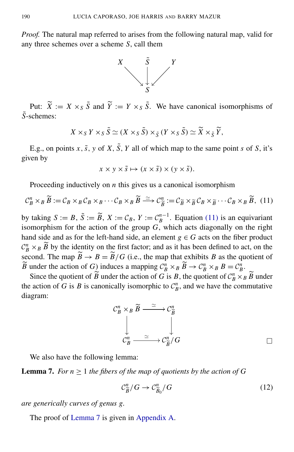*Proof.* The natural map referred to arises from the following natural map, valid for any three schemes over a scheme *S*, call them



Put:  $\widetilde{X} := X \times_S \widetilde{S}$  and  $\widetilde{Y} := Y \times_S \widetilde{S}$ . We have canonical isomorphisms of *S*˜-schemes:

$$
X \times_S Y \times_S \tilde{S} \simeq (X \times_S \tilde{S}) \times_{\tilde{S}} (Y \times_S \tilde{S}) \simeq \widetilde{X} \times_{\tilde{S}} \widetilde{Y},
$$

E.g., on points *x*,  $\tilde{s}$ , *y* of *X*,  $\tilde{S}$ , *Y* all of which map to the same point *s* of *S*, it's given by

<span id="page-8-0"></span>
$$
x \times y \times \tilde{s} \mapsto (x \times \tilde{s}) \times (y \times \tilde{s}).
$$

Proceeding inductively on *n* this gives us a canonical isomorphism

$$
\mathcal{C}_{B}^{n} \times_{B} \widetilde{B} := \mathcal{C}_{B} \times_{B} \mathcal{C}_{B} \times_{B} \cdots \mathcal{C}_{B} \times_{B} \widetilde{B} \xrightarrow{\simeq} \mathcal{C}_{\widetilde{B}}^{n} := \mathcal{C}_{\widetilde{B}} \times_{\widetilde{B}} \mathcal{C}_{B} \times_{\widetilde{B}} \cdots \mathcal{C}_{B} \times_{B} \widetilde{B}, (11)
$$

by taking  $S := B$ ,  $\tilde{S} := \tilde{B}$ ,  $X := C_B$ ,  $Y := C_B^{n-1}$ . Equation [\(11\)](#page-8-0) is an equivariant isomorphism for the action of the group  $G$ , which acts diagonally on the right hand side and as for the left-hand side, an element  $g \in G$  acts on the fiber product  $C_B^n \times_B \widetilde{B}$  by the identity on the first factor; and as it has been defined to act, on the second. The map  $\widetilde{B} \to B = \widetilde{B}/G$  (i.e., the map that exhibits *B* as the quotient of  $\widetilde{B}$  under the action of *G*) induces a mapping  $C_B^n \times_B \widetilde{B} \to C_B^n \times_B B = C_B^n$ .

Since the quotient of  $\widetilde{B}$  under the action of *G* is *B*, the quotient of  $C_B^n \times_B \widetilde{B}$  under the action of *G* is *B* is canonically isomorphic to  $C_B^n$ , and we have the commutative diagram:

$$
\begin{array}{ccc}\nC_B^n \times_B \widetilde{B} & \xrightarrow{\simeq} & C_{\widetilde{B}}^n \\
& \downarrow & & \downarrow \\
C_B^n & \xrightarrow{\simeq} & C_{\widetilde{B}}^n/G & \end{array}
$$

We also have the following lemma:

<span id="page-8-1"></span>**Lemma 7.** *For*  $n \geq 1$  *the fibers of the map of quotients by the action of G* 

<span id="page-8-2"></span>
$$
\mathcal{C}_{\widetilde{B}}^n/G \to \mathcal{C}_{\widetilde{B}_0}^n/G \tag{12}
$$

*are generically curves of genus g.*

The proof of [Lemma 7](#page-8-1) is given in [Appendix A.](#page-12-0)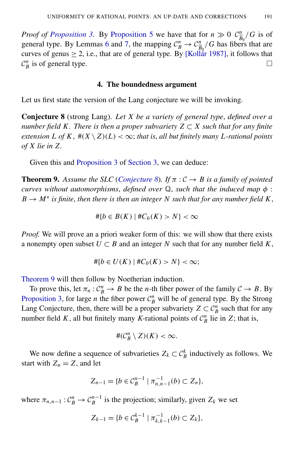*Proof of [Proposition 3.](#page-5-2)* By [Proposition 5](#page-7-3) we have that for  $n \gg 0$   $\mathcal{C}_{\widetilde{p}_n}^n/G$  is of general type. By Lemmas [6](#page-7-4) and [7,](#page-8-1) the mapping  $C_B^n \rightarrow C_{\tilde{B}_0}^n/G$  has fibers  $\frac{n}{\widetilde{B}_0}/G$  has fibers that are curves of genus  $\geq 2$ , i.e., that are of general type. By [Kollar 1987], it follows that  $\mathcal{C}_B^n$  is of general type.  $\Box$ 

#### 4. The boundedness argument

<span id="page-9-1"></span><span id="page-9-0"></span>Let us first state the version of the Lang conjecture we will be invoking.

Conjecture 8 (strong Lang). *Let X be a variety of general type*, *defined over a number field K. There is then a proper subvariety*  $Z \subset X$  *such that for any finite extension L of*  $K$ ,  $\#(X \setminus Z)(L) < \infty$ ; *that is, all but finitely many L*-rational points *of X lie in Z.*

Given this and [Proposition 3](#page-5-2) of [Section 3,](#page-5-0) we can deduce:

<span id="page-9-2"></span>**Theorem 9.** Assume the SLC (*[Conjecture 8](#page-9-0)*). If  $\pi$  :  $C \rightarrow B$  is a family of pointed *curves without automorphisms*, *defined over* Q, *such that the induced map* φ :  $B \to M^*$  *is finite, then there is then an integer N such that for any number field*  $K$ ,

$$
\#\{b \in B(K) \mid \#C_b(K) > N\} < \infty
$$

*Proof.* We will prove an a priori weaker form of this: we will show that there exists a nonempty open subset  $U \subset B$  and an integer N such that for any number field K,

$$
\#\{b \in U(K) \mid \#C_b(K) > N\} < \infty;
$$

[Theorem 9](#page-9-2) will then follow by Noetherian induction.

To prove this, let  $\pi_n$ :  $C_B^n \to B$  be the *n*-th fiber power of the family  $C \to B$ . By [Proposition 3,](#page-5-2) for large *n* the fiber power  $C_B^n$  will be of general type. By the Strong Lang Conjecture, then, there will be a proper subvariety  $Z \subset C_B^n$  such that for any number field *K*, all but finitely many *K*-rational points of  $C_B^n$  lie in *Z*; that is,

$$
\#(\mathcal{C}_B^n \setminus Z)(K) < \infty.
$$

We now define a sequence of subvarieties  $Z_k \subset \mathcal{C}_B^k$  inductively as follows. We start with  $Z_n = Z$ , and let

$$
Z_{n-1} = \{b \in C_B^{n-1} \mid \pi_{n,n-1}^{-1}(b) \subset Z_n\},\
$$

where  $\pi_{n,n-1}: \mathcal{C}_B^n \to \mathcal{C}_B^{n-1}$  is the projection; similarly, given  $Z_k$  we set

$$
Z_{k-1} = \{b \in \mathcal{C}_{B}^{k-1} \mid \pi_{k,k-1}^{-1}(b) \subset Z_{k}\},\
$$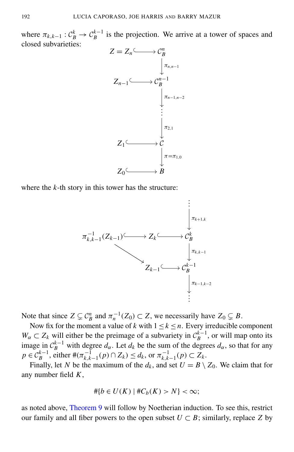where  $\pi_{k,k-1}$ :  $C_B^k \to C_B^{k-1}$  is the projection. We arrive at a tower of spaces and closed subvarieties:



where the *k*-th story in this tower has the structure:



Note that since  $Z \subsetneq C_B^n$  and  $\pi_n^{-1}(Z_0) \subset Z$ , we necessarily have  $Z_0 \subsetneq B$ .

Now fix for the moment a value of *k* with  $1 \le k \le n$ . Every irreducible component  $W_{\alpha} \subset Z_k$  will either be the preimage of a subvariety in  $\mathcal{C}_{B}^{k-1}$ , or will map onto its *B* image in  $C_B^{k-1}$  with degree  $d_\alpha$ . Let  $d_k$  be the sum of the degrees  $d_\alpha$ , so that for any  $p \in C_B^{k-1}$ , either  $\#(\pi_{k,k-1}^{-1}(p) \cap Z_k) \le d_k$ , or  $\pi_{k,k}^{-1}$  $\sum_{k,k-1}^{-1}(p) \subset Z_k$ .

Finally, let *N* be the maximum of the  $d_k$ , and set  $U = B \setminus Z_0$ . We claim that for any number field *K*,

$$
\#\{b \in U(K) \mid \#C_b(K) > N\} < \infty;
$$

as noted above, [Theorem 9](#page-9-2) will follow by Noetherian induction. To see this, restrict our family and all fiber powers to the open subset  $U \subset B$ ; similarly, replace *Z* by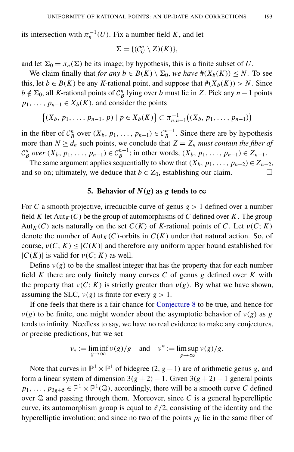its intersection with  $\pi_n^{-1}(U)$ . Fix a number field *K*, and let

$$
\Sigma = \{(\mathcal{C}_U^n \setminus Z)(K)\},\
$$

and let  $\Sigma_0 = \pi_n(\Sigma)$  be its image; by hypothesis, this is a finite subset of *U*.

We claim finally that *for any*  $b \in B(K) \setminus \Sigma_0$ , *we have*  $\#(X_b(K)) \leq N$ . To see this, let *b*  $\in$  *B*(*K*) be any *K*-rational point, and suppose that  $\#(X_b(K)) > N$ . Since  $b \notin \Sigma_0$ , all *K*-rational points of  $C_B^n$  lying over *b* must lie in *Z*. Pick any *n* − 1 points  $p_1, \ldots, p_{n-1} \in X_b(K)$ , and consider the points

$$
\{(X_b, p_1, \ldots, p_{n-1}, p) \mid p \in X_b(K)\} \subset \pi_{n,n-1}^{-1}((X_b, p_1, \ldots, p_{n-1}))
$$

in the fiber of  $C_B^n$  over  $(X_b, p_1, \ldots, p_{n-1}) \in C_B^{n-1}$ . Since there are by hypothesis more than  $N \geq d_n$  such points, we conclude that  $Z = Z_n$  *must contain the fiber of*  $\mathcal{C}_B^n$  over  $(X_b, p_1, \ldots, p_{n-1}) \in \mathcal{C}_B^{n-1}$ ; in other words,  $(X_b, p_1, \ldots, p_{n-1}) \in Z_{n-1}$ .

The same argument applies sequentially to show that  $(X_b, p_1, \ldots, p_{n-2}) \in Z_{n-2}$ , and so on; ultimately, we deduce that  $b \in Z_0$ , establishing our claim.  $\Box$ 

#### 5. Behavior of  $N(g)$  as g tends to  $\infty$

For *C* a smooth projective, irreducible curve of genus *g* > 1 defined over a number field *K* let  $Aut_K(C)$  be the group of automorphisms of *C* defined over *K*. The group Aut<sub>K</sub>(*C*) acts naturally on the set  $C(K)$  of *K*-rational points of *C*. Let  $v(C; K)$ denote the number of  $Aut_K(C)$ -orbits in  $C(K)$  under that natural action. So, of course,  $v(C; K) \leq |C(K)|$  and therefore any uniform upper bound established for  $|C(K)|$  is valid for  $v(C; K)$  as well.

Define  $v(g)$  to be the smallest integer that has the property that for each number field *K* there are only finitely many curves *C* of genus *g* defined over *K* with the property that  $\nu(C; K)$  is strictly greater than  $\nu(g)$ . By what we have shown, assuming the SLC,  $v(g)$  is finite for every  $g > 1$ .

If one feels that there is a fair chance for [Conjecture 8](#page-9-0) to be true, and hence for  $v(g)$  to be finite, one might wonder about the asymptotic behavior of  $v(g)$  as *g* tends to infinity. Needless to say, we have no real evidence to make any conjectures, or precise predictions, but we set

$$
\nu_* := \liminf_{g \to \infty} \nu(g)/g \quad \text{and} \quad \nu^* := \limsup_{g \to \infty} \nu(g)/g.
$$

Note that curves in  $\mathbb{P}^1 \times \mathbb{P}^1$  of bidegree  $(2, g + 1)$  are of arithmetic genus *g*, and form a linear system of dimension  $3(g + 2) - 1$ . Given  $3(g + 2) - 1$  general points  $p_1, \ldots, p_{3g+5} \in \mathbb{P}^1 \times \mathbb{P}^1(\mathbb{Q})$ , accordingly, there will be a smooth curve *C* defined over  $Q$  and passing through them. Moreover, since  $C$  is a general hyperelliptic curve, its automorphism group is equal to  $\mathbb{Z}/2$ , consisting of the identity and the hyperelliptic involution; and since no two of the points  $p_i$  lie in the same fiber of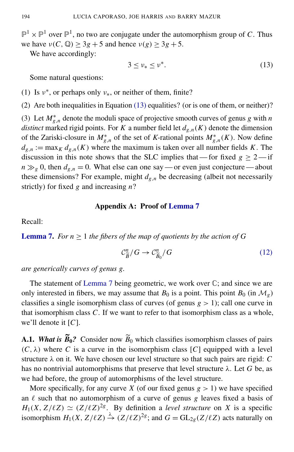$\mathbb{P}^1 \times \mathbb{P}^1$  over  $\mathbb{P}^1$ , no two are conjugate under the automorphism group of *C*. Thus we have  $v(C, \mathbb{Q}) \ge 3g + 5$  and hence  $v(g) \ge 3g + 5$ .

We have accordingly:

<span id="page-12-1"></span>
$$
3 \le \nu_* \le \nu^*.\tag{13}
$$

Some natural questions:

(1) Is  $v^*$ , or perhaps only  $v_*$ , or neither of them, finite?

(2) Are both inequalities in Equation [\(13\)](#page-12-1) equalities? (or is one of them, or neither)? (3) Let  $M_{g,n}^*$  denote the moduli space of projective smooth curves of genus *g* with *n distinct* marked rigid points. For *K* a number field let  $d_{g,n}(K)$  denote the dimension of the Zariski-closure in  $M_{g,n}^*$  of the set of *K*-rational points  $M_{g,n}^*(K)$ . Now define  $d_{g,n} := \max_K d_{g,n}(K)$  where the maximum is taken over all number fields *K*. The discussion in this note shows that the SLC implies that — for fixed  $g \ge 2$  — if  $n \gg g$  0, then  $d_{g,n} = 0$ . What else can one say — or even just conjecture — about these dimensions? For example, might  $d_{g,n}$  be decreasing (albeit not necessarily strictly) for fixed *g* and increasing *n*?

#### Appendix A: Proof of [Lemma 7](#page-8-1)

<span id="page-12-0"></span>Recall:

**[Lemma 7.](#page-8-1)** *For n*  $\geq$  1 *the fibers of the map of quotients by the action of G* 

$$
\mathcal{C}_{\widetilde{B}}^n/G \to \mathcal{C}_{\widetilde{B}_0}^n/G \tag{12}
$$

*are generically curves of genus g.*

The statement of [Lemma 7](#page-8-1) being geometric, we work over  $\mathbb{C}$ ; and since we are only interested in fibers, we may assume that  $B_0$  is a point. This point  $B_0$  (in  $\mathcal{M}_{g}$ ) classifies a single isomorphism class of curves (of genus *g* > 1); call one curve in that isomorphism class *C*. If we want to refer to that isomorphism class as a whole, we'll denote it [*C*].

**A.1.** *What is*  $\widetilde{B}_0$ ? Consider now  $\widetilde{B}_0$  which classifies isomorphism classes of pairs  $(C, \lambda)$  where *C* is a curve in the isomorphism class [*C*] equipped with a level structure  $\lambda$  on it. We have chosen our level structure so that such pairs are rigid:  $C$ has no nontrivial automorphisms that preserve that level structure  $\lambda$ . Let *G* be, as we had before, the group of automorphisms of the level structure.

More specifically, for any curve *X* (of our fixed genus  $g > 1$ ) we have specified an  $\ell$  such that no automorphism of a curve of genus  $\ell$  leaves fixed a basis of  $H_1(X, Z/\ell Z) \simeq (Z/\ell Z)^{2g}$ . By definition a *level structure* on *X* is a specific isomorphism  $H_1(X, Z/\ell Z) \stackrel{\lambda}{\rightarrow} (Z/\ell Z)^{2g}$ ; and  $G = GL_{2g}(Z/\ell Z)$  acts naturally on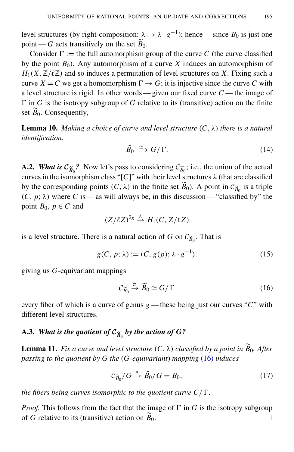level structures (by right-composition:  $\lambda \mapsto \lambda \cdot g^{-1}$ ); hence — since  $B_0$  is just one point — *G* acts transitively on the set  $\widetilde{B}_0$ .

Consider  $\Gamma :=$  the full automorphism group of the curve *C* (the curve classified by the point  $B_0$ ). Any automorphism of a curve *X* induces an automorphism of  $H_1(X, \mathbb{Z}/\ell\mathbb{Z})$  and so induces a permutation of level structures on X. Fixing such a curve  $X = C$  we get a homomorphism  $\Gamma \rightarrow G$ ; it is injective since the curve C with a level structure is rigid. In other words — given our fixed curve *C* — the image of  $\Gamma$  in *G* is the isotropy subgroup of *G* relative to its (transitive) action on the finite set  $\widetilde{B}_0$ . Consequently,

**Lemma 10.** *Making a choice of curve and level structure*  $(C, \lambda)$  *there is a natural identification*,

$$
\widetilde{B}_0 \xrightarrow{\simeq} G/\Gamma. \tag{14}
$$

**A.2.** *What is*  $C_{\tilde{B}_0}$ ? Now let's pass to considering  $C_{\tilde{B}_0}$ ; i.e., the union of the actual properties the interval *(b)* determines the interval of the actual curves in the isomorphism class "[C]" with their level structures  $\lambda$  (that are classified by the corresponding points  $(C, \lambda)$  in the finite set  $B_0$ ). A point in  $C_{\widetilde{B}_0}$  is a triple  $(C, p; \lambda)$  where *C* is — as will always be, in this discussion — "classified by" the point  $B_0$ ,  $p \in C$  and

$$
(Z/\ell Z)^{2g} \stackrel{\lambda}{\rightarrow} H_1(C, Z/\ell Z)
$$

is a level structure. There is a natural action of *G* on  $C_{\widetilde{B}_0}$ . That is

$$
g(C, p; \lambda) := (C, g(p); \lambda \cdot g^{-1}).
$$
\n(15)

giving us *G*-equivariant mappings

<span id="page-13-1"></span><span id="page-13-0"></span>
$$
\mathcal{C}_{\widetilde{B}_0} \xrightarrow{\pi} \widetilde{B}_0 \simeq G/\Gamma \tag{16}
$$

every fiber of which is a curve of genus *g* — these being just our curves "*C*" with different level structures.

# A.3. *What is the quotient of*  $\mathcal{C}_{\widetilde{B}_0}$  *by the action of*  $G$ *?*

**Lemma 11.** *Fix a curve and level structure*  $(C, \lambda)$  *classified by a point in*  $\widetilde{B}_0$ *. After passing to the quotient by G the* (*G-equivariant*) *mapping* [\(16\)](#page-13-0) *induces*

$$
\mathcal{C}_{\widetilde{B}_0}/G \xrightarrow{\pi} \widetilde{B}_0/G = B_0,\tag{17}
$$

*the fibers being curves isomorphic to the quotient curve*  $C/\Gamma$ *.* 

*Proof.* This follows from the fact that the image of  $\Gamma$  in *G* is the isotropy subgroup of *G* relative to its (transitive) action on  $\widetilde{B}_0$ .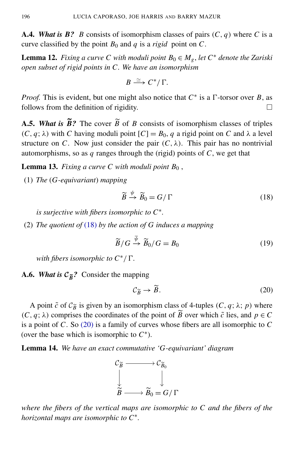**A.4.** *What is*  $\mathbf{B}$ ? *B* consists of isomorphism classes of pairs  $(C, q)$  where *C* is a curve classified by the point  $B_0$  and  $q$  is a *rigid* point on  $C$ .

**Lemma 12.** *Fixing a curve C with moduli point*  $B_0 \in M_g$ , *let*  $C^*$  *denote the Zariski open subset of rigid points in C. We have an isomorphism*

$$
B \xrightarrow{\simeq} C^*/\Gamma.
$$

*Proof.* This is evident, but one might also notice that  $C^*$  is a  $\Gamma$ -torsor over *B*, as follows from the definition of rigidity.  $\Box$ 

**A.5.** *What is*  $\widetilde{B}$ ? The cover  $\widetilde{B}$  of *B* consists of isomorphism classes of triples  $(C, q; \lambda)$  with *C* having moduli point  $[C] = B_0$ , *q* a rigid point on *C* and  $\lambda$  a level structure on *C*. Now just consider the pair  $(C, \lambda)$ . This pair has no nontrivial automorphisms, so as *q* ranges through the (rigid) points of *C*, we get that

**Lemma 13.** *Fixing a curve C with moduli point*  $B_0$ ,

(1) *The* (*G-equivariant*) *mapping*

<span id="page-14-0"></span>
$$
\widetilde{B} \xrightarrow{\psi} \widetilde{B}_0 = G/\Gamma \tag{18}
$$

*is surjective with fibers isomorphic to C*<sup>∗</sup> *.*

(2) *The quotient of* [\(18\)](#page-14-0) *by the action of G induces a mapping*

$$
\widetilde{B}/G \stackrel{\overline{\psi}}{\to} \widetilde{B}_0/G = B_0 \tag{19}
$$

*with fibers isomorphic to*  $C^*/\Gamma$ .

A.6. *What is*  $C_{\tilde{B}}$ ? Consider the mapping

<span id="page-14-1"></span>
$$
\mathcal{C}_{\widetilde{B}} \to \widetilde{B}.\tag{20}
$$

A point  $\tilde{c}$  of  $C_{\tilde{B}}$  is given by an isomorphism class of 4-tuples  $(C, q; \lambda; p)$  where  $(C, q; \lambda)$  comprises the coordinates of the point of  $\widetilde{B}$  over which  $\widetilde{c}$  lies, and  $p \in C$ is a point of *C*. So [\(20\)](#page-14-1) is a family of curves whose fibers are all isomorphic to *C* (over the base which is isomorphic to  $C^*$ ).

<span id="page-14-2"></span>Lemma 14. *We have an exact commutative 'G-equivariant' diagram*



*where the fibers of the vertical maps are isomorphic to C and the fibers of the horizontal maps are isomorphic to C*<sup>∗</sup> *.*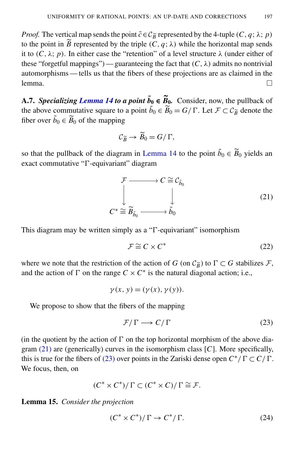*Proof.* The vertical map sends the point  $\tilde{c} \in C_{\tilde{B}}$  represented by the 4-tuple (*C*, *q*;  $\lambda$ ; *p*) to the point in  $\widetilde{B}$  represented by the triple  $(C, q; \lambda)$  while the horizontal map sends it to  $(C, \lambda; p)$ . In either case the "retention" of a level structure  $\lambda$  (under either of these "forgetful mappings") — guaranteeing the fact that  $(C, \lambda)$  admits no nontrivial automorphisms — tells us that the fibers of these projections are as claimed in the lemma.  $\Box$ 

A.7. *Specializing [Lemma 14](#page-14-2) to a point*  $\tilde{b}_0 \in \tilde{B}_0$ . Consider, now, the pullback of the above commutative square to a point  $\tilde{b}_0 \in \tilde{B}_0 = G/\Gamma$ . Let  $\mathcal{F} \subset \mathcal{C}_{\tilde{B}}$  denote the fiber over  $\tilde{b}_0 \in \widetilde{B}_0$  of the mapping

<span id="page-15-0"></span>
$$
\mathcal{C}_{\widetilde{B}} \to \widetilde{B}_0 = G/\Gamma,
$$

so that the pullback of the diagram in [Lemma 14](#page-14-2) to the point  $\tilde{b}_0 \in \tilde{B}_0$  yields an  $exact$  commutative " $\Gamma$ -equivariant" diagram

$$
\mathcal{F} \longrightarrow C \cong \mathcal{C}_{\tilde{b}_0}
$$
\n
$$
\downarrow \qquad \qquad \downarrow \qquad (21)
$$
\n
$$
C^* \cong \widetilde{B}_{\tilde{b}_0} \longrightarrow \widetilde{b}_0
$$

This diagram may be written simply as a " $\Gamma$ -equivariant" isomorphism

$$
\mathcal{F} \cong C \times C^* \tag{22}
$$

where we note that the restriction of the action of *G* (on  $C_{\tilde{B}}$ ) to  $\Gamma \subset G$  stabilizes *F*, and the action of  $\Gamma$  on the range  $C \times C^*$  is the natural diagonal action; i.e.,

$$
\gamma(x, y) = (\gamma(x), \gamma(y)).
$$

We propose to show that the fibers of the mapping

<span id="page-15-1"></span>
$$
\mathcal{F}/\Gamma \longrightarrow C/\Gamma \tag{23}
$$

(in the quotient by the action of  $\Gamma$  on the top horizontal morphism of the above diagram [\(21\)](#page-15-0) are (generically) curves in the isomorphism class [*C*]. More specifically, this is true for the fibers of [\(23\)](#page-15-1) over points in the Zariski dense open  $C^*/\Gamma \subset C/\Gamma$ . We focus, then, on

$$
(C^* \times C^*)/\Gamma \subset (C^* \times C)/\Gamma \cong \mathcal{F}.
$$

Lemma 15. *Consider the projection*

<span id="page-15-2"></span>
$$
(C^* \times C^*)/\Gamma \to C^*/\Gamma. \tag{24}
$$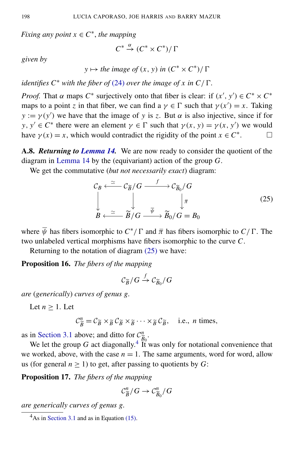*Fixing any point*  $x \in C^*$ , *the mapping* 

$$
C^* \xrightarrow{\alpha} (C^* \times C^*)/\Gamma
$$

*given by*

 $y \mapsto$  *the image of*  $(x, y)$  *in*  $(C^* \times C^*)$ /  $\Gamma$ 

*identifies*  $C^*$  *with the fiber of* [\(24\)](#page-15-2) *over the image of x in*  $C/\Gamma$ *.* 

*Proof.* That  $\alpha$  maps  $C^*$  surjectively onto that fiber is clear: if  $(x', y') \in C^* \times C^*$ maps to a point *z* in that fiber, we can find a  $\gamma \in \Gamma$  such that  $\gamma(x') = x$ . Taking  $y := \gamma(y')$  we have that the image of *y* is *z*. But  $\alpha$  is also injective, since if for *y*,  $y' \in C^*$  there were an element  $\gamma \in \Gamma$  such that  $\gamma(x, y) = \gamma(x, y')$  we would have  $\gamma(x) = x$ , which would contradict the rigidity of the point  $x \in C^*$ . □

A.8. *Returning to [Lemma 14.](#page-14-2)* We are now ready to consider the quotient of the diagram in [Lemma 14](#page-14-2) by the (equivariant) action of the group *G*.

We get the commutative (*but not necessarily exact*) diagram:

<span id="page-16-0"></span>
$$
\mathcal{C}_B \xleftarrow{\simeq} \mathcal{C}_{\widetilde{B}}/G \xrightarrow{f} \mathcal{C}_{\widetilde{B}_0}/G
$$
\n
$$
\downarrow \qquad \qquad \downarrow \qquad \qquad \downarrow \bar{\pi}
$$
\n
$$
B \xleftarrow{\simeq} \widetilde{B}/G \xrightarrow{\bar{\psi}} \widetilde{B}_0/G = B_0
$$
\n
$$
(25)
$$

where  $\overline{\psi}$  has fibers isomorphic to  $C^*/\Gamma$  and  $\overline{\pi}$  has fibers isomorphic to  $C/\Gamma$ . The two unlabeled vertical morphisms have fibers isomorphic to the curve *C*.

Returning to the notation of diagram [\(25\)](#page-16-0) we have:

Proposition 16. *The fibers of the mapping*

$$
\mathcal{C}_{\widetilde{B}}/G \stackrel{f}{\to} \mathcal{C}_{\widetilde{B}_0}/G
$$

*are* (*generically*) *curves of genus g.*

Let  $n > 1$ . Let

$$
\mathcal{C}_{\widetilde{B}}^n = \mathcal{C}_{\widetilde{B}} \times_{\widetilde{B}} \mathcal{C}_{\widetilde{B}} \times_{\widetilde{B}} \cdots \times_{\widetilde{B}} \mathcal{C}_{\widetilde{B}}, \quad \text{i.e., } n \text{ times,}
$$

as in [Section 3.1](#page-7-2) above; and ditto for  $C_{\tilde{p}_0}^n$ .

We let the group *G* act diagonally.<sup>[4](#page-16-1)</sup> It was only for notational convenience that we worked, above, with the case  $n = 1$ . The same arguments, word for word, allow us (for general  $n \geq 1$ ) to get, after passing to quotients by *G*:

Proposition 17. *The fibers of the mapping*

$$
\mathcal{C}_{\widetilde{B}}^n/G\to \mathcal{C}_{\widetilde{B}_0}^n/G
$$

*are generically curves of genus g.*

<span id="page-16-1"></span> $4$ As in [Section 3.1](#page-7-2) and as in Equation [\(15\).](#page-13-1)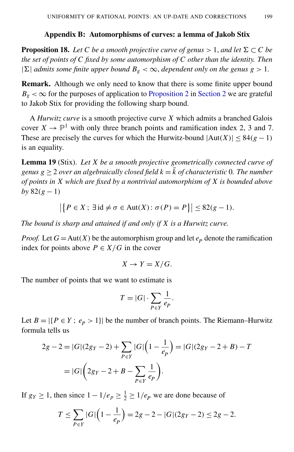#### Appendix B: Automorphisms of curves: a lemma of Jakob Stix

<span id="page-17-0"></span>**Proposition 18.** Let C be a smooth projective curve of genus  $> 1$ , and let  $\Sigma \subset C$  be *the set of points of C fixed by some automorphism of C other than the identity. Then*  $|\Sigma|$  *admits some finite upper bound B<sub>g</sub> <*  $\infty$ *, <i>dependent only on the genus g > 1.* 

Remark. Although we only need to know that there is some finite upper bound  $B_g < \infty$  for the purposes of application to [Proposition 2](#page-2-0) in [Section 2](#page-1-1) we are grateful to Jakob Stix for providing the following sharp bound.

A *Hurwitz curve* is a smooth projective curve *X* which admits a branched Galois cover  $X \to \mathbb{P}^1$  with only three branch points and ramification index 2, 3 and 7. These are precisely the curves for which the Hurwitz-bound  $|Aut(X)| \leq 84(g-1)$ is an equality.

Lemma 19 (Stix). *Let X be a smooth projective geometrically connected curve of genus*  $g \geq 2$  *over an algebraically closed field*  $k = \overline{k}$  *of characteristic* 0*. The number of points in X which are fixed by a nontrivial automorphism of X is bounded above by*  $82(g-1)$ 

$$
\left|\left\{P \in X; \exists \mathrm{id} \neq \sigma \in \mathrm{Aut}(X): \sigma(P) = P\right\}\right| \leq 82(g-1).
$$

*The bound is sharp and attained if and only if X is a Hurwitz curve.*

*Proof.* Let  $G = Aut(X)$  be the automorphism group and let  $e_p$  denote the ramification index for points above  $P \in X/G$  in the cover

$$
X \to Y = X/G.
$$

The number of points that we want to estimate is

$$
T = |G| \cdot \sum_{P \in Y} \frac{1}{e_P}.
$$

Let  $B = |\{P \in Y : e_P > 1\}|$  be the number of branch points. The Riemann–Hurwitz formula tells us

$$
2g - 2 = |G|(2g_Y - 2) + \sum_{P \in Y} |G| \left(1 - \frac{1}{e_P}\right) = |G|(2g_Y - 2 + B) - T
$$

$$
= |G| \left(2g_Y - 2 + B - \sum_{P \in Y} \frac{1}{e_P}\right).
$$

If  $g_Y \ge 1$ , then since  $1 - 1/e_p \ge \frac{1}{2} \ge 1/e_p$  we are done because of

$$
T \le \sum_{P \in Y} |G| \left( 1 - \frac{1}{e_P} \right) = 2g - 2 - |G|(2g_Y - 2) \le 2g - 2.
$$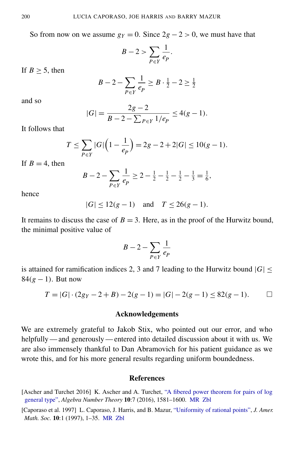So from now on we assume  $g_Y = 0$ . Since  $2g - 2 > 0$ , we must have that

$$
B-2 > \sum_{P \in Y} \frac{1}{e_P}.
$$

If  $B > 5$ , then

$$
B - 2 - \sum_{P \in Y} \frac{1}{e_P} \ge B \cdot \frac{1}{2} - 2 \ge \frac{1}{2}
$$

and so

$$
|G| = \frac{2g - 2}{B - 2 - \sum_{P \in Y} 1/e_P} \le 4(g - 1).
$$

It follows that

$$
T \le \sum_{P \in Y} |G| \left( 1 - \frac{1}{e_P} \right) = 2g - 2 + 2|G| \le 10(g - 1).
$$

If  $B = 4$ , then

$$
B - 2 - \sum_{P \in Y} \frac{1}{e_P} \ge 2 - \frac{1}{2} - \frac{1}{2} - \frac{1}{2} - \frac{1}{3} = \frac{1}{6},
$$

hence

$$
|G| \le 12(g-1)
$$
 and  $T \le 26(g-1)$ .

It remains to discuss the case of  $B = 3$ . Here, as in the proof of the Hurwitz bound, the minimal positive value of

$$
B-2-\sum_{P\in Y}\frac{1}{e_P}
$$

is attained for ramification indices 2, 3 and 7 leading to the Hurwitz bound  $|G|$  < 84(*g* − 1). But now

$$
T = |G| \cdot (2g_Y - 2 + B) - 2(g - 1) = |G| - 2(g - 1) \le 82(g - 1).
$$

#### Acknowledgements

We are extremely grateful to Jakob Stix, who pointed out our error, and who helpfully — and generously — entered into detailed discussion about it with us. We are also immensely thankful to Dan Abramovich for his patient guidance as we wrote this, and for his more general results regarding uniform boundedness.

#### References

<span id="page-18-1"></span><sup>[</sup>Ascher and Turchet 2016] K. Ascher and A. Turchet, ["A fibered power theorem for pairs of log](http://dx.doi.org/10.2140/ant.2016.10.1581) [general type",](http://dx.doi.org/10.2140/ant.2016.10.1581) *Algebra Number Theory* 10:7 (2016), 1581–1600. [MR](http://msp.org/idx/mr/3554241) [Zbl](http://msp.org/idx/zbl/1376.14035)

<span id="page-18-0"></span><sup>[</sup>Caporaso et al. 1997] L. Caporaso, J. Harris, and B. Mazur, ["Uniformity of rational points",](http://dx.doi.org/10.1090/S0894-0347-97-00195-1) *J. Amer. Math. Soc.* 10:1 (1997), 1–35. [MR](http://msp.org/idx/mr/1325796) [Zbl](http://msp.org/idx/zbl/0872.14017)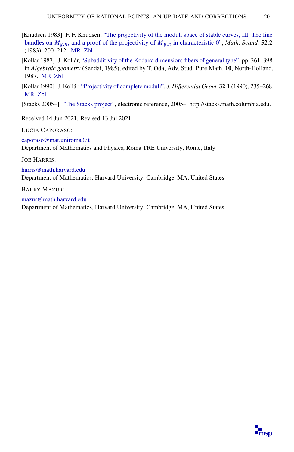- <span id="page-19-1"></span>[Knudsen 1983] F. F. Knudsen, ["The projectivity of the moduli space of stable curves, III: The line](http://dx.doi.org/10.7146/math.scand.a-12002) bundles on  $M_{g,n}$ [, and a proof of the projectivity of](http://dx.doi.org/10.7146/math.scand.a-12002)  $\overline{M}_{g,n}$  in characteristic 0", *Math. Scand.* 52:2 (1983), 200–212. [MR](http://msp.org/idx/mr/702954) [Zbl](http://msp.org/idx/zbl/0544.14021)
- <span id="page-19-3"></span>[Kollár 1987] J. Kollár, ["Subadditivity of the Kodaira dimension: fibers of general type",](http://dx.doi.org/10.2969/aspm/01010361) pp. 361–398 in *Algebraic geometry* (Sendai, 1985), edited by T. Oda, Adv. Stud. Pure Math. 10, North-Holland, 1987. [MR](http://msp.org/idx/mr/946244) [Zbl](http://msp.org/idx/zbl/0659.14024)
- <span id="page-19-2"></span>[Kollár 1990] J. Kollár, ["Projectivity of complete moduli",](http://projecteuclid.org/euclid.jdg/1214445046) *J. Differential Geom.* 32:1 (1990), 235–268. [MR](http://msp.org/idx/mr/1064874) [Zbl](http://msp.org/idx/zbl/0684.14002)
- <span id="page-19-0"></span>[Stacks 2005–] ["The Stacks project",](http://stacks.math.columbia.edu) electronic reference, 2005–, http://stacks.math.columbia.edu.

Received 14 Jun 2021. Revised 13 Jul 2021.

LUCIA CAPORASO:

[caporaso@mat.uniroma3.it](mailto:caporaso@mat.uniroma3.it) Department of Mathematics and Physics, Roma TRE University, Rome, Italy

JOE HARRIS:

[harris@math.harvard.edu](mailto:harris@math.harvard.edu)

Department of Mathematics, Harvard University, Cambridge, MA, United States

BARRY MAZUR:

[mazur@math.harvard.edu](mailto:mazur@math.harvard.edu) Department of Mathematics, Harvard University, Cambridge, MA, United States

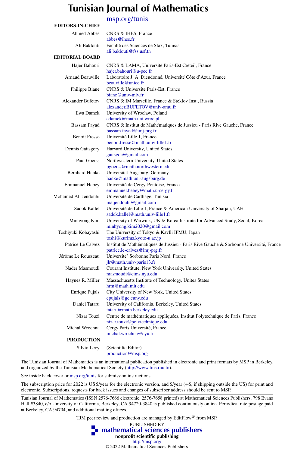### Tunisian Journal of Mathematics

[msp.org/tunis](http://msp.org/tunis/)

| <b>EDITORS-IN-CHIEF</b>  |                                                                                                                        |
|--------------------------|------------------------------------------------------------------------------------------------------------------------|
| <b>Ahmed Abbes</b>       | CNRS & IHES, France<br>abbes@ihes.fr                                                                                   |
| Ali Baklouti             | Faculté des Sciences de Sfax, Tunisia<br>ali.baklouti@fss.usf.tn                                                       |
| <b>EDITORIAL BOARD</b>   |                                                                                                                        |
| Hajer Bahouri            | CNRS & LAMA, Université Paris-Est Créteil, France<br>hajer.bahouri@u-pec.fr                                            |
| Arnaud Beauville         | Laboratoire J. A. Dieudonné, Université Côte d'Azur, France<br>beauville@unice.fr                                      |
| Philippe Biane           | CNRS & Université Paris-Est, France<br>biane@univ-mlv.fr                                                               |
| <b>Alexander Bufetov</b> | CNRS & IM Marseille, France & Steklov Inst., Russia<br>alexander.BUFETOV@univ-amu.fr                                   |
| Ewa Damek                | University of Wrocław, Poland<br>edamek@math.uni.wroc.pl                                                               |
| Bassam Fayad             | CNRS & Institut de Mathématiques de Jussieu - Paris Rive Gauche, France<br>bassam.fayad@imj-prg.fr                     |
| <b>Benoit Fresse</b>     | Université Lille 1, France<br>benoit.fresse@math.univ-lille1.fr                                                        |
| Dennis Gaitsgory         | Harvard University, United States<br>gaitsgde@gmail.com                                                                |
| Paul Goerss              | Northwestern University, United States<br>pgoerss@math.northwestern.edu                                                |
| <b>Bernhard Hanke</b>    | Universität Augsburg, Germany<br>hanke@math.uni-augsburg.de                                                            |
| <b>Emmanuel Hebey</b>    | Université de Cergy-Pontoise, France<br>emmanuel.hebey@math.u-cergy.fr                                                 |
| Mohamed Ali Jendoubi     | Université de Carthage, Tunisia<br>ma.jendoubi@gmail.com                                                               |
| Sadok Kallel             | Université de Lille 1, France & American University of Sharjah, UAE<br>sadok.kallel@math.univ-lille1.fr                |
| Minhyong Kim             | University of Warwick, UK & Korea Institute for Advanced Study, Seoul, Korea<br>minhyong.kim2020@gmail.com             |
| Toshiyuki Kobayashi      | The University of Tokyo & Kavlli IPMU, Japan<br>toshi@kurims.kyoto-u.ac.jp                                             |
| Patrice Le Calvez        | Institut de Mathématiques de Jussieu - Paris Rive Gauche & Sorbonne Université, France<br>patrice.le-calvez@imj-prg.fr |
| Jérôme Le Rousseau       | Université' Sorbonne Paris Nord, France<br>jlr@math.univ-paris13.fr                                                    |
| Nader Masmoudi           | Courant Institute, New York University, United States<br>masmoudi@cims.nyu.edu                                         |
| Haynes R. Miller         | Massachusetts Institute of Technology, Unites States<br>hrm@math.mit.edu                                               |
| Enrique Pujals           | City University of New York, United States<br>epujals@gc.cuny.edu                                                      |
| Daniel Tataru            | University of California, Berkeley, United States<br>tataru@math.berkeley.edu                                          |
| Nizar Touzi              | Centre de mathématiques appliquées, Institut Polytechnique de Paris, France<br>nizar.touzi@polytechnique.edu           |
| Michał Wrochna           | Cergy Paris Université, France<br>michal.wrochna@cyu.fr                                                                |
| <b>PRODUCTION</b>        |                                                                                                                        |
| Silvio Levy              | (Scientific Editor)<br>production@msp.org                                                                              |

The Tunisian Journal of Mathematics is an international publication published in electronic and print formats by MSP in Berkeley, and organized by the Tunisian Mathematical Society [\(http://www.tms.rnu.tn\)](http://www.tms.rnu.tn).

See inside back cover or [msp.org/tunis](http://dx.doi.org/10.2140/tunis) for submission instructions.

The subscription price for 2022 is US \$/year for the electronic version, and \$/year (+\$, if shipping outside the US) for print and electronic. Subscriptions, requests for back issues and changes of subscriber address should be sent to MSP.

Tunisian Journal of Mathematics (ISSN 2576-7666 electronic, 2576-7658 printed) at Mathematical Sciences Publishers, 798 Evans Hall #3840, c/o University of California, Berkeley, CA 94720-3840 is published continuously online. Periodical rate postage paid at Berkeley, CA 94704, and additional mailing offices.

TJM peer review and production are managed by EditFlow® from MSP.